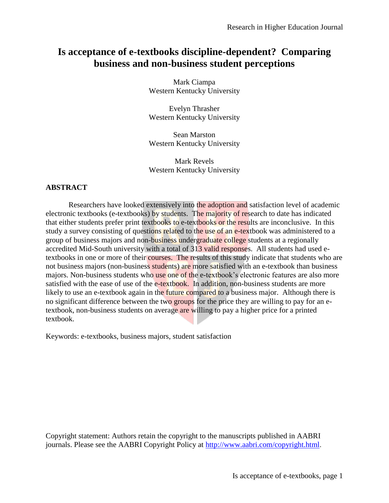# **Is acceptance of e-textbooks discipline-dependent? Comparing business and non-business student perceptions**

Mark Ciampa Western Kentucky University

Evelyn Thrasher Western Kentucky University

Sean Marston Western Kentucky University

Mark Revels Western Kentucky University

### **ABSTRACT**

Researchers have looked extensively into the adoption and satisfaction level of academic electronic textbooks (e-textbooks) by students. The majority of research to date has indicated that either students prefer print textbooks to e-textbooks or the results are inconclusive. In this study a survey consisting of questions related to the use of an e-textbook was administered to a group of business majors and non-business undergraduate college students at a regionally accredited Mid-South university with a total of 313 valid responses. All students had used etextbooks in one or more of their courses. The results of this study indicate that students who are not business majors (non-business students) are more satisfied with an e-textbook than business majors. Non-business students who use one of the e-textbook's electronic features are also more satisfied with the ease of use of the e-textbook. In addition, non-business students are more likely to use an e-textbook again in the future compared to a business major. Although there is no significant difference between the two groups for the price they are willing to pay for an etextbook, non-business students on average are willing to pay a higher price for a printed textbook.

Keywords: e-textbooks, business majors, student satisfaction

Copyright statement: Authors retain the copyright to the manuscripts published in AABRI journals. Please see the AABRI Copyright Policy at<http://www.aabri.com/copyright.html>.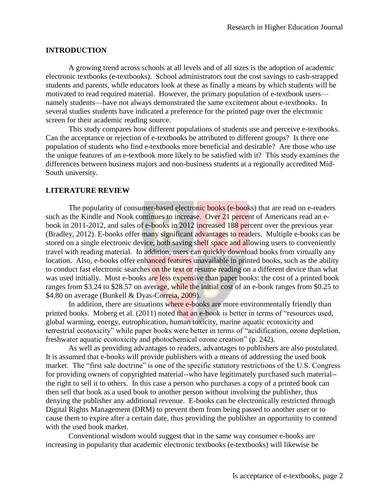#### **INTRODUCTION**

A growing trend across schools at all levels and of all sizes is the adoption of academic electronic textbooks (e-textbooks). School administrators tout the cost savings to cash-strapped students and parents, while educators look at these as finally a means by which students will be motivated to read required material. However, the primary population of e-textbook users namely students—have not always demonstrated the same excitement about e-textbooks. In several studies students have indicated a preference for the printed page over the electronic screen for their academic reading source.

This study compares how different populations of students use and perceive e-textbooks. Can the acceptance or rejection of e-textbooks be attributed to different groups? Is there one population of students who find e-textbooks more beneficial and desirable? Are those who use the unique features of an e-textbook more likely to be satisfied with it? This study examines the differences between business majors and non-business students at a regionally accredited Mid-South university.

#### **LITERATURE REVIEW**

The popularity of consumer-based electronic books (e-books) that are read on e-readers such as the Kindle and Nook continues to increase. Over 21 percent of Americans read an ebook in 2011-2012, and sales of e-books in 2012 increased 188 percent over the previous year (Bradley, 2012). E-books offer many significant advantages to readers. Multiple e-books can be stored on a single electronic device, both saving shelf space and allowing users to conveniently travel with reading material. In addition, users can quickly download books from virtually any location. Also, e-books offer enhanced features unavailable in printed books, such as the ability to conduct fast electronic searches on the text or resume reading on a different device than what was used initially. Most e-books are less expensive than paper books: the cost of a printed book ranges from \$3.24 to \$28.57 on average, while the initial cost of an e-book ranges from \$0.25 to \$4.80 on average (Bunkell & Dyas-Correia, 2009).

In addition, there are situations where e-books are more environmentally friendly than printed books. Moberg et al. (2011) noted that an e-book is better in terms of "resources used, global warming, energy, eutrophication, human toxicity, marine aquatic ecotoxicity and terrestrial ecotoxicity" while paper books were better in terms of "acidification, ozone depletion, freshwater aquatic ecotoxicity and photochemical ozone creation" (p. 242).

As well as providing advantages to readers, advantages to publishers are also postulated. It is assumed that e-books will provide publishers with a means of addressing the used book market. The "first sale doctrine" is one of the specific statutory restrictions of the U.S. Congress for providing owners of copyrighted material--who have legitimately purchased such material- the right to sell it to others. In this case a person who purchases a copy of a printed book can then sell that book as a used book to another person without involving the publisher, thus denying the publisher any additional revenue. E-books can be electronically restricted through Digital Rights Management (DRM) to prevent them from being passed to another user or to cause them to expire after a certain date, thus providing the publisher an opportunity to contend with the used book market.

Conventional wisdom would suggest that in the same way consumer e-books are increasing in popularity that academic electronic textbooks (e-textbooks) will likewise be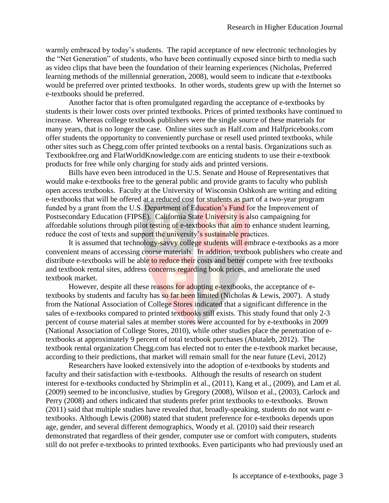warmly embraced by today's students. The rapid acceptance of new electronic technologies by the "Net Generation" of students, who have been continually exposed since birth to media such as video clips that have been the foundation of their learning experiences (Nicholas, Preferred learning methods of the millennial generation, 2008), would seem to indicate that e-textbooks would be preferred over printed textbooks. In other words, students grew up with the Internet so e-textbooks should be preferred.

Another factor that is often promulgated regarding the acceptance of e-textbooks by students is their lower costs over printed textbooks. Prices of printed textbooks have continued to increase. Whereas college textbook publishers were the single source of these materials for many years, that is no longer the case. Online sites such as Half.com and Halfpricebooks.com offer students the opportunity to conveniently purchase or resell used printed textbooks, while other sites such as Chegg.com offer printed textbooks on a rental basis. Organizations such as Textbookfree.org and FlatWorldKnowledge.com are enticing students to use their e-textbook products for free while only charging for study aids and printed versions.

Bills have even been introduced in the U.S. Senate and House of Representatives that would make e-textbooks free to the general public and provide grants to faculty who publish open access textbooks. Faculty at the University of Wisconsin Oshkosh are writing and editing e-textbooks that will be offered at a reduced cost for students as part of a two-year program funded by a grant from the U.S. Department of Education's Fund for the Improvement of Postsecondary Education (FIPSE). California State University is also campaigning for affordable solutions through pilot testing of e-textbooks that aim to enhance student learning, reduce the cost of texts and support the university's sustainable practices.

It is assumed that technology-savvy college students will embrace e-textbooks as a more convenient means of accessing course materials. In addition, textbook publishers who create and distribute e-textbooks will be able to reduce their costs and better compete with free textbooks and textbook rental sites, address concerns regarding book prices, and ameliorate the used textbook market.

However, despite all these reasons for adopting e-textbooks, the acceptance of etextbooks by students and faculty has so far been limited (Nicholas  $&$  Lewis, 2007). A study from the National Association of College Stores indicated that a significant difference in the sales of e-textbooks compared to printed textbooks still exists. This study found that only 2-3 percent of course material sales at member stores were accounted for by e-textbooks in 2009 (National Association of College Stores, 2010), while other studies place the penetration of etextbooks at approximately 9 percent of total textbook purchases (Abutaleb, 2012). The textbook rental organization Chegg.com has elected not to enter the e-textbook market because, according to their predictions, that market will remain small for the near future (Levi, 2012)

Researchers have looked extensively into the adoption of e-textbooks by students and faculty and their satisfaction with e-textbooks. Although the results of research on student interest for e-textbooks conducted by Shrimplin et al., (2011), Kang et al., (2009), and Lam et al. (2009) seemed to be inconclusive, studies by Gregory (2008), Wilson et al., (2003), Carlock and Perry (2008) and others indicated that students prefer print textbooks to e-textbooks. Brown (2011) said that multiple studies have revealed that, broadly-speaking, students do not want etextbooks. Although Lewis (2008) stated that student preference for e-textbooks depends upon age, gender, and several different demographics, Woody et al. (2010) said their research demonstrated that regardless of their gender, computer use or comfort with computers, students still do not prefer e-textbooks to printed textbooks. Even participants who had previously used an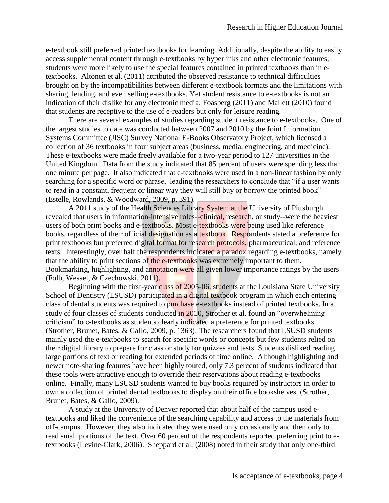e-textbook still preferred printed textbooks for learning. Additionally, despite the ability to easily access supplemental content through e-textbooks by hyperlinks and other electronic features, students were more likely to use the special features contained in printed textbooks than in etextbooks. Altonen et al. (2011) attributed the observed resistance to technical difficulties brought on by the incompatibilities between different e-textbook formats and the limitations with sharing, lending, and even selling e-textbooks. Yet student resistance to e-textbooks is not an indication of their dislike for any electronic media; Foasberg (2011) and Mallett (2010) found that students are receptive to the use of e-readers but only for leisure reading.

There are several examples of studies regarding student resistance to e-textbooks. One of the largest studies to date was conducted between 2007 and 2010 by the Joint Information Systems Committee (JISC) Survey National E-Books Observatory Project, which licensed a collection of 36 textbooks in four subject areas (business, media, engineering, and medicine). These e-textbooks were made freely available for a two-year period to 127 universities in the United Kingdom. Data from the study indicated that 85 percent of users were spending less than one minute per page. It also indicated that e-textbooks were used in a non-linear fashion by only searching for a specific word or phrase, leading the researchers to conclude that "if a user wants to read in a constant, frequent or linear way they will still buy or borrow the printed book" (Estelle, Rowlands, & Woodward, 2009, p. 391).

A 2011 study of the Health Sciences Library System at the University of Pittsburgh revealed that users in information-intensive roles--clinical, research, or study--were the heaviest users of both print books and e-textbooks. Most e-textbooks were being used like reference books, regardless of their official designation as a textbook. Respondents stated a preference for print textbooks but preferred digital format for research protocols, pharmaceutical, and reference texts. Interestingly, over half the respondents indicated a paradox regarding e-textbooks, namely that the ability to print sections of the e-textbooks was extremely important to them. Bookmarking, highlighting, and annotation were all given lower importance ratings by the users (Folb, Wessel, & Czechowski, 2011).

Beginning with the first-year class of 2005-06, students at the Louisiana State University School of Dentistry (LSUSD) participated in a digital textbook program in which each entering class of dental students was required to purchase e-textbooks instead of printed textbooks. In a study of four classes of students conducted in 2010, Strother et al. found an "overwhelming criticism" to e-textbooks as students clearly indicated a preference for printed textbooks (Strother, Brunet, Bates, & Gallo, 2009, p. 1363). The researchers found that LSUSD students mainly used the e-textbooks to search for specific words or concepts but few students relied on their digital library to prepare for class or study for quizzes and tests. Students disliked reading large portions of text or reading for extended periods of time online. Although highlighting and newer note-sharing features have been highly touted, only 7.3 percent of students indicated that these tools were attractive enough to override their reservations about reading e-textbooks online. Finally, many LSUSD students wanted to buy books required by instructors in order to own a collection of printed dental textbooks to display on their office bookshelves. (Strother, Brunet, Bates, & Gallo, 2009).

A study at the University of Denver reported that about half of the campus used etextbooks and liked the convenience of the searching capability and access to the materials from off-campus. However, they also indicated they were used only occasionally and then only to read small portions of the text. Over 60 percent of the respondents reported preferring print to etextbooks (Levine-Clark, 2006). Sheppard et al. (2008) noted in their study that only one-third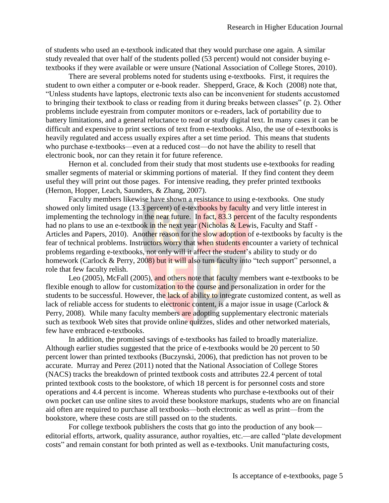of students who used an e-textbook indicated that they would purchase one again. A similar study revealed that over half of the students polled (53 percent) would not consider buying etextbooks if they were available or were unsure (National Association of College Stores, 2010).

There are several problems noted for students using e-textbooks. First, it requires the student to own either a computer or e-book reader. Shepperd, Grace, & Koch (2008) note that, "Unless students have laptops, electronic texts also can be inconvenient for students accustomed to bringing their textbook to class or reading from it during breaks between classes" (p. 2). Other problems include eyestrain from computer monitors or e-readers, lack of portability due to battery limitations, and a general reluctance to read or study digital text. In many cases it can be difficult and expensive to print sections of text from e-textbooks. Also, the use of e-textbooks is heavily regulated and access usually expires after a set time period. This means that students who purchase e-textbooks—even at a reduced cost—do not have the ability to resell that electronic book, nor can they retain it for future reference.

Hernon et al. concluded from their study that most students use e-textbooks for reading smaller segments of material or skimming portions of material. If they find content they deem useful they will print out those pages. For intensive reading, they prefer printed textbooks (Hernon, Hopper, Leach, Saunders, & Zhang, 2007).

Faculty members likewise have shown a resistance to using e-textbooks. One study showed only limited usage (13.3 percent) of e-textbooks by faculty and very little interest in implementing the technology in the near future. In fact, 83.3 percent of the faculty respondents had no plans to use an e-textbook in the next year (Nicholas  $&$  Lewis, Faculty and Staff -Articles and Papers, 2010). Another reason for the slow adoption of e-textbooks by faculty is the fear of technical problems. Instructors worry that when students encounter a variety of technical problems regarding e-textbooks, not only will it affect the student's ability to study or do homework (Carlock & Perry, 2008) but it will also turn faculty into "tech support" personnel, a role that few faculty relish.

Leo (2005), McFall (2005), and others note that faculty members want e-textbooks to be flexible enough to allow for customization to the course and personalization in order for the students to be successful. However, the lack of ability to integrate customized content, as well as lack of reliable access for students to electronic content, is a major issue in usage (Carlock & Perry, 2008). While many faculty members are adopting supplementary electronic materials such as textbook Web sites that provide online quizzes, slides and other networked materials, few have embraced e-textbooks.

In addition, the promised savings of e-textbooks has failed to broadly materialize. Although earlier studies suggested that the price of e-textbooks would be 20 percent to 50 percent lower than printed textbooks (Buczynski, 2006), that prediction has not proven to be accurate. Murray and Perez (2011) noted that the National Association of College Stores (NACS) tracks the breakdown of printed textbook costs and attributes 22.4 percent of total printed textbook costs to the bookstore, of which 18 percent is for personnel costs and store operations and 4.4 percent is income. Whereas students who purchase e-textbooks out of their own pocket can use online sites to avoid these bookstore markups, students who are on financial aid often are required to purchase all textbooks—both electronic as well as print—from the bookstore, where these costs are still passed on to the students.

For college textbook publishers the costs that go into the production of any book editorial efforts, artwork, quality assurance, author royalties, etc.—are called "plate development costs" and remain constant for both printed as well as e-textbooks. Unit manufacturing costs,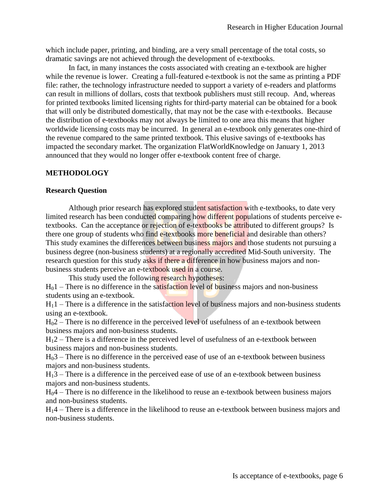which include paper, printing, and binding, are a very small percentage of the total costs, so dramatic savings are not achieved through the development of e-textbooks.

In fact, in many instances the costs associated with creating an e-textbook are higher while the revenue is lower. Creating a full-featured e-textbook is not the same as printing a PDF file: rather, the technology infrastructure needed to support a variety of e-readers and platforms can result in millions of dollars, costs that textbook publishers must still recoup. And, whereas for printed textbooks limited licensing rights for third-party material can be obtained for a book that will only be distributed domestically, that may not be the case with e-textbooks. Because the distribution of e-textbooks may not always be limited to one area this means that higher worldwide licensing costs may be incurred. In general an e-textbook only generates one-third of the revenue compared to the same printed textbook. This elusive savings of e-textbooks has impacted the secondary market. The organization FlatWorldKnowledge on January 1, 2013 announced that they would no longer offer e-textbook content free of charge.

#### **METHODOLOGY**

#### **Research Question**

Although prior research has explored student satisfaction with e-textbooks, to date very limited research has been conducted comparing how different populations of students perceive etextbooks. Can the acceptance or rejection of e-textbooks be attributed to different groups? Is there one group of students who find e-textbooks more beneficial and desirable than others? This study examines the differences between business majors and those students not pursuing a business degree (non-business students) at a regionally accredited Mid-South university. The research question for this study asks if there a difference in how business majors and nonbusiness students perceive an e-textbook used in a course.

This study used the following research hypotheses:

 $H_0$ 1 – There is no difference in the satisfaction level of business majors and non-business students using an e-textbook.

 $H_1$ 1 – There is a difference in the satisfaction level of business majors and non-business students using an e-textbook.

 $H<sub>0</sub>2$  – There is no difference in the perceived level of usefulness of an e-textbook between business majors and non-business students.

 $H_12$  – There is a difference in the perceived level of usefulness of an e-textbook between business majors and non-business students.

 $H<sub>0</sub>3$  – There is no difference in the perceived ease of use of an e-textbook between business majors and non-business students.

H13 – There is a difference in the perceived ease of use of an e-textbook between business majors and non-business students.

H04 – There is no difference in the likelihood to reuse an e-textbook between business majors and non-business students.

H14 – There is a difference in the likelihood to reuse an e-textbook between business majors and non-business students.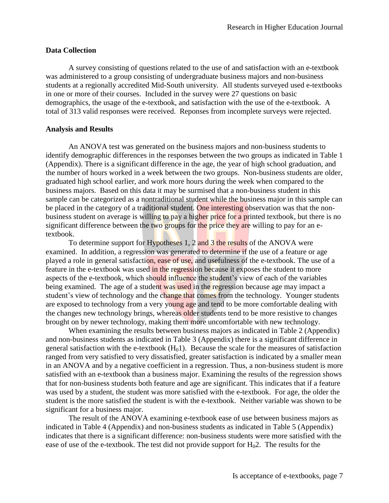#### **Data Collection**

A survey consisting of questions related to the use of and satisfaction with an e-textbook was administered to a group consisting of undergraduate business majors and non-business students at a regionally accredited Mid-South university. All students surveyed used e-textbooks in one or more of their courses. Included in the survey were 27 questions on basic demographics, the usage of the e-textbook, and satisfaction with the use of the e-textbook. A total of 313 valid responses were received. Reponses from incomplete surveys were rejected.

#### **Analysis and Results**

An ANOVA test was generated on the business majors and non-business students to identify demographic differences in the responses between the two groups as indicated in Table 1 (Appendix). There is a significant difference in the age, the year of high school graduation, and the number of hours worked in a week between the two groups. Non-business students are older, graduated high school earlier, and work more hours during the week when compared to the business majors. Based on this data it may be surmised that a non-business student in this sample can be categorized as a nontraditional student while the business major in this sample can be placed in the category of a traditional student. One interesting observation was that the nonbusiness student on average is willing to pay a higher price for a printed textbook, but there is no significant difference between the two groups for the price they are willing to pay for an etextbook.

To determine support for Hypotheses 1, 2 and 3 the results of the ANOVA were examined. In addition, a regression was generated to determine if the use of a feature or age played a role in general satisfaction, ease of use, and usefulness of the e-textbook. The use of a feature in the e-textbook was used in the regression because it exposes the student to more aspects of the e-textbook, which should influence the student's view of each of the variables being examined. The age of a student was used in the regression because age may impact a student's view of technology and the change that comes from the technology. Younger students are exposed to technology from a very young age and tend to be more comfortable dealing with the changes new technology brings, whereas older students tend to be more resistive to changes brought on by newer technology, making them more uncomfortable with new technology.

When examining the results between business majors as indicated in Table 2 (Appendix) and non-business students as indicated in Table 3 (Appendix) there is a significant difference in general satisfaction with the e-textbook  $(H<sub>0</sub>1)$ . Because the scale for the measures of satisfaction ranged from very satisfied to very dissatisfied, greater satisfaction is indicated by a smaller mean in an ANOVA and by a negative coefficient in a regression. Thus, a non-business student is more satisfied with an e-textbook than a business major. Examining the results of the regression shows that for non-business students both feature and age are significant. This indicates that if a feature was used by a student, the student was more satisfied with the e-textbook. For age, the older the student is the more satisfied the student is with the e-textbook. Neither variable was shown to be significant for a business major.

The result of the ANOVA examining e-textbook ease of use between business majors as indicated in Table 4 (Appendix) and non-business students as indicated in Table 5 (Appendix) indicates that there is a significant difference: non-business students were more satisfied with the ease of use of the e-textbook. The test did not provide support for  $H_02$ . The results for the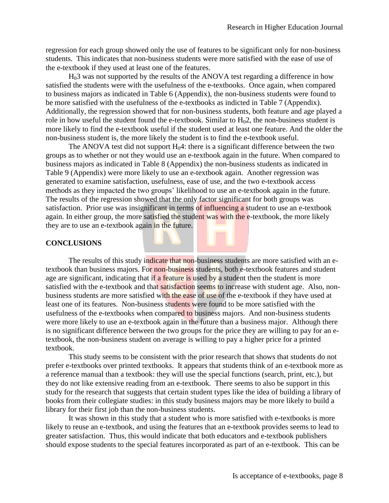regression for each group showed only the use of features to be significant only for non-business students. This indicates that non-business students were more satisfied with the ease of use of the e-textbook if they used at least one of the features.

 $H<sub>0</sub>3$  was not supported by the results of the ANOVA test regarding a difference in how satisfied the students were with the usefulness of the e-textbooks. Once again, when compared to business majors as indicated in Table 6 (Appendix), the non-business students were found to be more satisfied with the usefulness of the e-textbooks as indicted in Table 7 (Appendix). Additionally, the regression showed that for non-business students, both feature and age played a role in how useful the student found the e-textbook. Similar to  $H_02$ , the non-business student is more likely to find the e-textbook useful if the student used at least one feature. And the older the non-business student is, the more likely the student is to find the e-textbook useful.

The ANOVA test did not support  $H_04$ : there is a significant difference between the two groups as to whether or not they would use an e-textbook again in the future. When compared to business majors as indicated in Table 8 (Appendix) the non-business students as indicated in Table 9 (Appendix) were more likely to use an e-textbook again. Another regression was generated to examine satisfaction, usefulness, ease of use, and the two e-textbook access methods as they impacted the two groups' likelihood to use an e-textbook again in the future. The results of the regression showed that the only factor significant for both groups was satisfaction. Prior use was insignificant in terms of influencing a student to use an e-textbook again. In either group, the more satisfied the student was with the e-textbook, the more likely they are to use an e-textbook again in the future.

#### **CONCLUSIONS**

The results of this study indicate that non-business students are more satisfied with an etextbook than business majors. For non-business students, both e-textbook features and student age are significant, indicating that if a feature is used by a student then the student is more satisfied with the e-textbook and that satisfaction seems to increase with student age. Also, nonbusiness students are more satisfied with the ease of use of the e-textbook if they have used at least one of its features. Non-business students were found to be more satisfied with the usefulness of the e-textbooks when compared to business majors. And non-business students were more likely to use an e-textbook again in the future than a business major. Although there is no significant difference between the two groups for the price they are willing to pay for an etextbook, the non-business student on average is willing to pay a higher price for a printed textbook.

This study seems to be consistent with the prior research that shows that students do not prefer e-textbooks over printed textbooks. It appears that students think of an e-textbook more as a reference manual than a textbook: they will use the special functions (search, print, etc.), but they do not like extensive reading from an e-textbook. There seems to also be support in this study for the research that suggests that certain student types like the idea of building a library of books from their collegiate studies: in this study business majors may be more likely to build a library for their first job than the non-business students.

It was shown in this study that a student who is more satisfied with e-textbooks is more likely to reuse an e-textbook, and using the features that an e-textbook provides seems to lead to greater satisfaction. Thus, this would indicate that both educators and e-textbook publishers should expose students to the special features incorporated as part of an e-textbook. This can be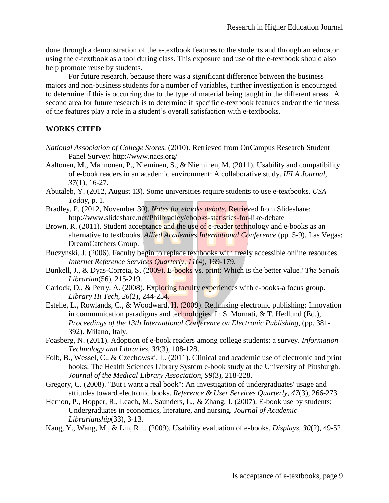done through a demonstration of the e-textbook features to the students and through an educator using the e-textbook as a tool during class. This exposure and use of the e-textbook should also help promote reuse by students.

For future research, because there was a significant difference between the business majors and non-business students for a number of variables, further investigation is encouraged to determine if this is occurring due to the type of material being taught in the different areas. A second area for future research is to determine if specific e-textbook features and/or the richness of the features play a role in a student's overall satisfaction with e-textbooks.

## **WORKS CITED**

- *National Association of College Stores.* (2010). Retrieved from OnCampus Research Student Panel Survey: http://www.nacs.org/
- Aaltonen, M., Mannonen, P., Nieminen, S., & Nieminen, M. (2011). Usability and compatibility of e-book readers in an academic environment: A collaborative study. *IFLA Journal, 37*(1), 16-27.
- Abutaleb, Y. (2012, August 13). Some universities require students to use e-textbooks. *USA Today*, p. 1.
- Bradley, P. (2012, November 30). *Notes for ebooks debate.* Retrieved from Slideshare: http://www.slideshare.net/Philbradley/ebooks-statistics-for-like-debate
- Brown, R. (2011). Student acceptance and the use of e-reader technology and e-books as an alternative to textbooks. *Allied Academies International Conference* (pp. 5-9). Las Vegas: DreamCatchers Group.
- Buczynski, J. (2006). Faculty begin to replace textbooks with freely accessible online resources. *Internet Reference Services Quarterly, 11*(4), 169-179.
- Bunkell, J., & Dyas-Correia, S. (2009). E-books vs. print: Which is the better value? *The Serials Librarian*(56), 215-219.
- Carlock, D., & Perry, A. (2008). Exploring faculty experiences with e-books-a focus group. *Library Hi Tech, 26*(2), 244-254.
- Estelle, L., Rowlands, C., & Woodward, H. (2009). Rethinking electronic publishing: Innovation in communication paradigms and technologies. In S. Mornati, & T. Hedlund (Ed.), *Proceedings of the 13th International Conference on Electronic Publishing*, (pp. 381- 392). Milano, Italy.
- Foasberg, N. (2011). Adoption of e-book readers among college students: a survey. *Information Technology and Libraries, 30*(3), 108-128.
- Folb, B., Wessel, C., & Czechowski, L. (2011). Clinical and academic use of electronic and print books: The Health Sciences Library System e-book study at the University of Pittsburgh. *Journal of the Medical Library Association, 99*(3), 218-228.
- Gregory, C. (2008). "But i want a real book": An investigation of undergraduates' usage and attitudes toward electronic books. *Reference & User Services Quarterly, 47*(3), 266-273.
- Hernon, P., Hopper, R., Leach, M., Saunders, L., & Zhang, J. (2007). E-book use by students: Undergraduates in economics, literature, and nursing. *Journal of Academic Librarianship*(33), 3-13.
- Kang, Y., Wang, M., & Lin, R. .. (2009). Usability evaluation of e-books. *Displays, 30*(2), 49-52.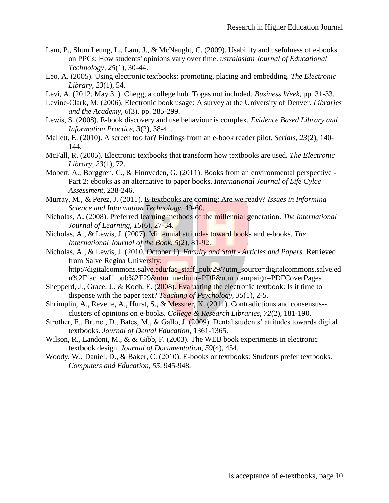- Lam, P., Shun Leung, L., Lam, J., & McNaught, C. (2009). Usability and usefulness of e-books on PPCs: How students' opinions vary over time. *ustralasian Journal of Educational Technology, 25*(1), 30-44.
- Leo, A. (2005). Using electronic textbooks: promoting, placing and embedding. *The Electronic Library, 23*(1), 54.
- Levi, A. (2012, May 31). Chegg, a college hub. Togas not included. *Business Week*, pp. 31-33.
- Levine-Clark, M. (2006). Electronic book usage: A survey at the University of Denver. *Libraries and the Academy, 6*(3), pp. 285-299.
- Lewis, S. (2008). E-book discovery and use behaviour is complex. *Evidence Based Library and Information Practice, 3*(2), 38-41.
- Mallett, E. (2010). A screen too far? Findings from an e-book reader pilot. *Serials, 23*(2), 140- 144.
- McFall, R. (2005). Electronic textbooks that transform how textbooks are used. *The Electronic Library, 23*(1), 72.
- Mobert, A., Borggren, C., & Finnveden, G. (2011). Books from an environmental perspective Part 2: ebooks as an alternative to paper books. *International Journal of Life Cylce Assessment*, 238-246.
- Murray, M., & Perez, J. (2011). E-textbooks are coming: Are we ready? *Issues in Informing Science and Information Technology*, 49-60.
- Nicholas, A. (2008). Preferred learning methods of the millennial generation. *The International Journal of Learning, 15*(6), 27-34.
- Nicholas, A., & Lewis, J. (2007). Millennial attitudes toward books and e-books. *The International Journal of the Book, 5*(2), 81-92.
- Nicholas, A., & Lewis, J. (2010, October 1). *Faculty and Staff - Articles and Papers.* Retrieved from Salve Regina University: http://digitalcommons.salve.edu/fac\_staff\_pub/29/?utm\_source=digitalcommons.salve.ed u%2Ffac\_staff\_pub%2F29&utm\_medium=PDF&utm\_campaign=PDFCoverPages
- Shepperd, J., Grace, J., & Koch, E. (2008). Evaluating the electronic textbook: Is it time to dispense with the paper text? *Teaching of Psychology, 35*(1), 2-5.
- Shrimplin, A., Revelle, A., Hurst, S., & Messner, K. (2011). Contradictions and consensus- clusters of opinions on e-books. *College & Research Libraries, 72*(2), 181-190.
- Strother, E., Brunet, D., Bates, M., & Gallo, J. (2009). Dental students' attitudes towards digital textbooks. *Journal of Dental Education*, 1361-1365.
- Wilson, R., Landoni, M., & & Gibb, F. (2003). The WEB book experiments in electronic textbook design. *Journal of Documentation, 59*(4), 454.
- Woody, W., Daniel, D., & Baker, C. (2010). E-books or textbooks: Students prefer textbooks. *Computers and Education, 55*, 945-948.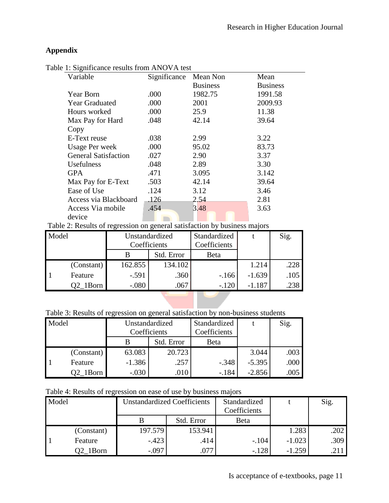## **Appendix**

| 1. Digital cance repairs from Fire |              |                 |                 |
|------------------------------------|--------------|-----------------|-----------------|
| Variable                           | Significance | Mean Non        | Mean            |
|                                    |              | <b>Business</b> | <b>Business</b> |
| Year Born                          | .000         | 1982.75         | 1991.58         |
| <b>Year Graduated</b>              | .000         | 2001            | 2009.93         |
| Hours worked                       | .000         | 25.9            | 11.38           |
| Max Pay for Hard                   | .048         | 42.14           | 39.64           |
| Copy                               |              |                 |                 |
| E-Text reuse                       | .038         | 2.99            | 3.22            |
| <b>Usage Per week</b>              | .000         | 95.02           | 83.73           |
| <b>General Satisfaction</b>        | .027         | 2.90            | 3.37            |
| <b>Usefulness</b>                  | .048         | 2.89            | 3.30            |
| GPA.                               | .471         | 3.095           | 3.142           |
| Max Pay for E-Text                 | .503         | 42.14           | 39.64           |
| Ease of Use                        | .124         | 3.12            | 3.46            |
| Access via Blackboard              | .126         | 2.54            | 2.81            |
| Access Via mobile                  | .454         | 3.48            | 3.63            |
| device                             |              |                 |                 |
|                                    |              |                 |                 |

Table 1: Significance results from ANOVA test

| Table 2: Results of regression on general satisfaction by business majors |  |  |  |
|---------------------------------------------------------------------------|--|--|--|
|                                                                           |  |  |  |

| Model |            | Unstandardized |            | Standardized |          | Sig. |
|-------|------------|----------------|------------|--------------|----------|------|
|       |            | Coefficients   |            | Coefficients |          |      |
|       |            |                | Std. Error | Beta         |          |      |
|       | (Constant) | 162.855        | 134.102    |              | 1.214    | .228 |
|       | Feature    | $-.591$        | .360       | $-166$       | $-1.639$ | .105 |
|       | Q2 1Born   | $-.080$        | .067       | $-.120$      | $-1.187$ | .238 |

Table 3: Results of regression on general satisfaction by non-business students

| Model |            | Unstandardized |            | Standardized |          | Sig.       |
|-------|------------|----------------|------------|--------------|----------|------------|
|       |            | Coefficients   |            | Coefficients |          |            |
|       |            |                | Std. Error | Beta         |          |            |
|       | (Constant) | 63.083         | 20.723     |              | 3.044    | .003       |
|       | Feature    | $-1.386$       | .257       | $-.348$      | $-5.395$ | $.000$ $ $ |
|       | Q2 1Born   | $-.030$        | .010       | $-.184$      | $-2.856$ |            |

Table 4: Results of regression on ease of use by business majors

| Model |            | <b>Unstandardized Coefficients</b> |            | Standardized<br>Coefficients |          | Sig. |
|-------|------------|------------------------------------|------------|------------------------------|----------|------|
|       |            |                                    | Std. Error | Beta                         |          |      |
|       | (Constant) | 197.579                            | 153.941    |                              | 1.283    | .202 |
|       | Feature    | $-.423$                            | .414       | $-.104$                      | $-1.023$ | .309 |
|       | Q2 1Born   | $-.097$                            | .077       | $-.128$                      | $-1.259$ | .211 |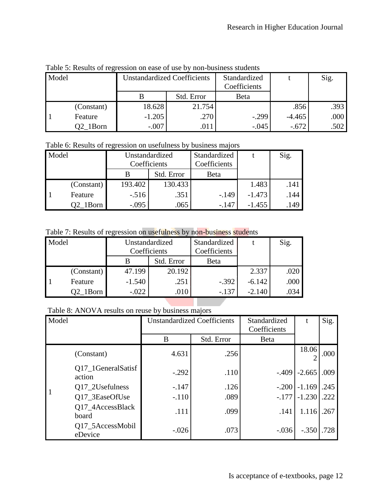Table 5: Results of regression on ease of use by non-business students

| Model |            | <b>Unstandardized Coefficients</b> |            | Standardized<br>Coefficients |          | Sig. |
|-------|------------|------------------------------------|------------|------------------------------|----------|------|
|       |            |                                    | Std. Error | Beta                         |          |      |
|       | (Constant) | 18.628                             | 21.754     |                              | .856     | .393 |
|       | Feature    | $-1.205$                           | .270       | $-.299$                      | $-4.465$ | .000 |
|       | Q2 1Born   | $-.007$                            | .011       | $-.045$                      | $-.672$  | .502 |

Table 6: Results of regression on usefulness by business majors

| Model |            | Unstandardized<br>Coefficients |            | Standardized<br>Coefficients |          | Sig. |
|-------|------------|--------------------------------|------------|------------------------------|----------|------|
|       |            |                                | Std. Error | Beta                         |          |      |
|       | (Constant) | 193.402                        | 130.433    |                              | 1.483    | .141 |
|       | Feature    | $-.516$                        | .351       | $-.149$                      | $-1.473$ | .144 |
|       | 1Born      | $-.095$                        | .065       | -.147                        | $-1.455$ | .149 |

Table 7: Results of regression on usefulness by non-business students

| Model |            | Unstandardized<br>Coefficients |            | Standardized<br>Coefficients |          | Sig. |
|-------|------------|--------------------------------|------------|------------------------------|----------|------|
|       |            |                                | Std. Error | Beta                         |          |      |
|       | (Constant) | 47.199                         | 20.192     |                              | 2.337    | .020 |
|       | Feature    | $-1.540$                       | .251       | $-.392$                      | $-6.142$ | .000 |
|       | Q2 1Born   | $-.022$                        | .010       | $-.137$                      | $-2.140$ | .034 |

Table 8: ANOVA results on reuse by business majors

| Model |                              |         | <b>Unstandardized Coefficients</b> | Standardized<br>Coefficients |          | Sig. |
|-------|------------------------------|---------|------------------------------------|------------------------------|----------|------|
|       |                              | B       | Std. Error                         | <b>B</b> eta                 |          |      |
|       | (Constant)                   | 4.631   | .256                               |                              | 18.06    | .000 |
|       | Q17_1GeneralSatisf<br>action | $-.292$ | .110                               | $-.409$                      | $-2.665$ | .009 |
|       | Q17_2Usefulness              | $-.147$ | .126                               | $-.200$                      | $-1.169$ | .245 |
|       | Q17_3EaseOfUse               | $-.110$ | .089                               | $-.177$                      | $-1.230$ | .222 |
|       | Q17_4AccessBlack<br>board    | .111    | .099                               | .141                         | 1.116    | .267 |
|       | Q17_5AccessMobil<br>eDevice  | $-.026$ | .073                               | $-.036$                      | $-.350$  | .728 |